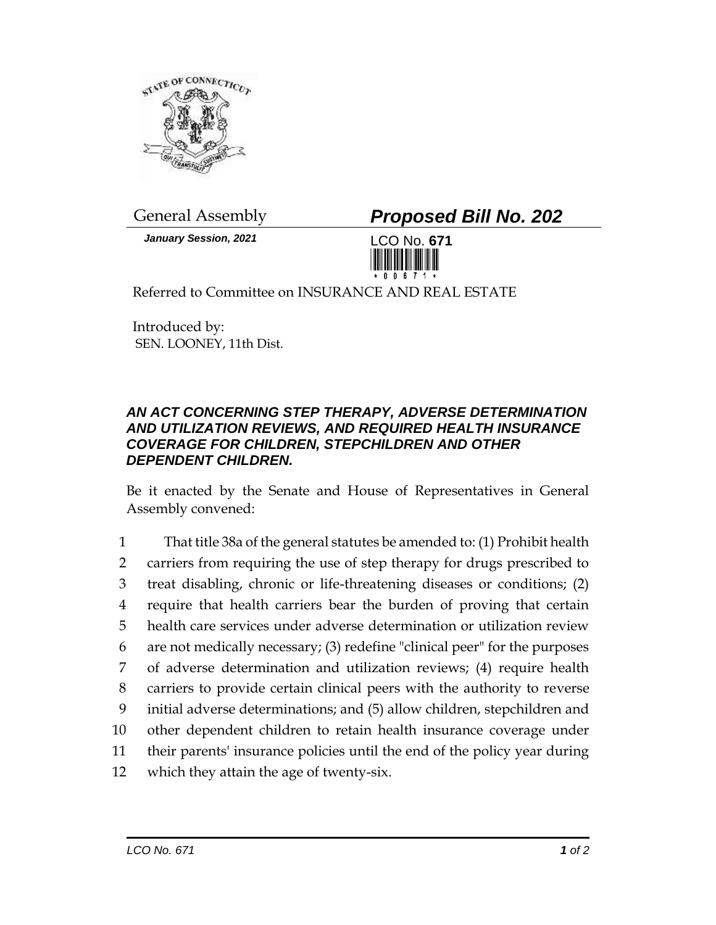

*January Session, 2021* LCO No. **671**

General Assembly *Proposed Bill No. 202*



Referred to Committee on INSURANCE AND REAL ESTATE

Introduced by: SEN. LOONEY, 11th Dist.

## *AN ACT CONCERNING STEP THERAPY, ADVERSE DETERMINATION AND UTILIZATION REVIEWS, AND REQUIRED HEALTH INSURANCE COVERAGE FOR CHILDREN, STEPCHILDREN AND OTHER DEPENDENT CHILDREN.*

Be it enacted by the Senate and House of Representatives in General Assembly convened:

|    | That title 38a of the general statutes be amended to: (1) Prohibit health  |
|----|----------------------------------------------------------------------------|
| 2  | carriers from requiring the use of step therapy for drugs prescribed to    |
| 3  | treat disabling, chronic or life-threatening diseases or conditions; (2)   |
| 4  | require that health carriers bear the burden of proving that certain       |
| 5  | health care services under adverse determination or utilization review     |
| 6  | are not medically necessary; (3) redefine "clinical peer" for the purposes |
| 7  | of adverse determination and utilization reviews; (4) require health       |
| 8  | carriers to provide certain clinical peers with the authority to reverse   |
| 9  | initial adverse determinations; and (5) allow children, stepchildren and   |
| 10 | other dependent children to retain health insurance coverage under         |
| 11 | their parents' insurance policies until the end of the policy year during  |
| 12 | which they attain the age of twenty-six.                                   |